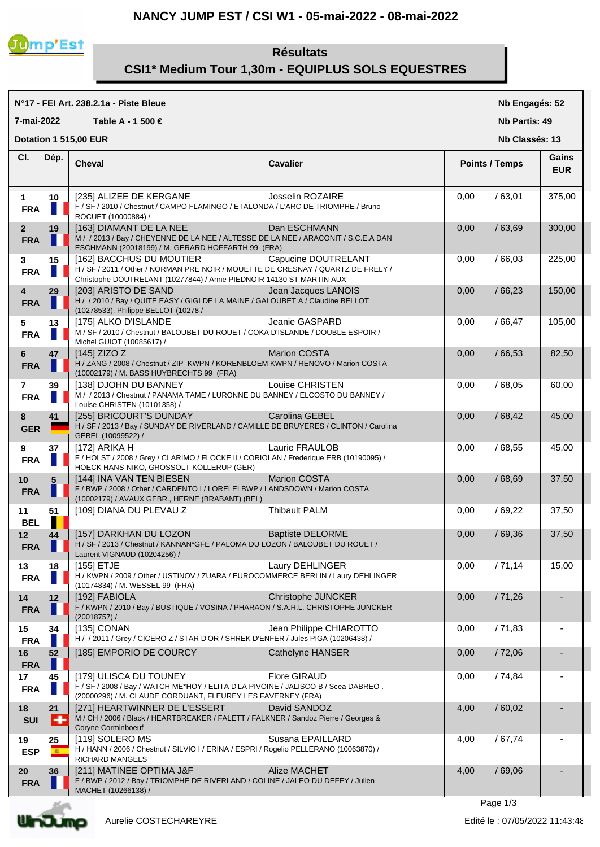# **NANCY JUMP EST / CSI W1 - 05-mai-2022 - 08-mai-2022**



# **CSI1\* Medium Tour 1,30m - EQUIPLUS SOLS EQUESTRES**

 **Résultats**

#### **N°17 - FEI Art. 238.2.1a - Piste Bleue Cheval Cavalier Cl. Nb Engagés: 52 Nb Partis: 49 Nb Classés: 13 Gains 7-mai-2022 Table A - 1 500 € Points / Temps EUR Dotation 1 515,00 EUR Dép. 1 10**  $\begin{bmatrix} 235 \end{bmatrix}$  ALIZEE DE KERGANE Josselin ROZAIRE  $\begin{bmatrix} 0.00 & / 63,01 \end{bmatrix}$  375,00 **FRA** F / SF / 2010 / Chestnut / CAMPO FLAMINGO / ETALONDA / L'ARC DE TRIOMPHE / Bruno ROCUET (10000884) / **2 19** | [163] DIAMANT DE LA NEE DAN ESCHMANN **DAN ESCHMANN** | 0,00 / 63,69 | 300,00 **FRA** M / / 2013 / Bay / CHEYENNE DE LA NEE / ALTESSE DE LA NEE / ARACONIT / S.C.E.A DAN ESCHMANN (20018199) / M. GERARD HOFFARTH 99 (FRA) **3 15** | [162] BACCHUS DU MOUTIER Capucine DOUTRELANT | 0,00 / 66,03 | 225,00 **FRA**  $\blacksquare$  H / SF / 2011 / Other / NORMAN PRE NOIR / MOUETTE DE CRESNAY / QUARTZ DE FRELY / Christophe DOUTRELANT (10277844) / Anne PIEDNOIR 14130 ST MARTIN AUX **4 29 [203] ARISTO DE SAND** Jean Jacques LANOIS **10,00** / 66,23 150,00 **FRA** H / / 2010 / Bay / QUITE EASY / GIGI DE LA MAINE / GALOUBET A / Claudine BELLOT (10278533), Philippe BELLOT (10278 / **5 13** [175] ALKO D'ISLANDE Jeanie GASPARD 0,00 / 66,47 105,00 **FRA** M / SF / 2010 / Chestnut / BALOUBET DU ROUET / COKA D'ISLANDE / DOUBLE ESPOIR / Michel GUIOT (10085617) / **6 47** [145] ZIZO Z Marion COSTA 0,00 / 66,53 82,50 **FRA**  $\blacksquare$  H / ZANG / 2008 / Chestnut / ZIP KWPN / KORENBLOEM KWPN / RENOVO / Marion COSTA (10002179) / M. BASS HUYBRECHTS 99 (FRA) **7 39**  $\begin{bmatrix} 138 \\ 0.00 \end{bmatrix}$  DJOHN DU BANNEY Louise CHRISTEN  $\begin{bmatrix} 0.00 \\ 0.00 \end{bmatrix}$  / 68,05 60,00 **FRA** M / / 2013 / Chestnut / PANAMA TAME / LURONNE DU BANNEY / ELCOSTO DU BANNEY / Louise CHRISTEN (10101358) / **8 41** | [255] BRICOURT'S DUNDAY Carolina GEBEL  $\begin{array}{|c|c|c|c|c|c|c|c|c|} \hline \end{array}$  0.00 / 68,42 | 45,00 **GER** H / SF / 2013 / Bay / SUNDAY DE RIVERLAND / CAMILLE DE BRUYERES / CLINTON / Carolina GEBEL (10099522) / **9 37** [172] ARIKA H Laurie FRAULOB 0,00 / 68,55 45,00 FRA F / HOLST / 2008 / Grey / CLARIMO / FLOCKE II / CORIOLAN / Frederique ERB (10190095) / HOECK HANS-NIKO, GROSSOLT-KOLLERUP (GER) **10 5** [144] INA VAN TEN BIESEN Marion COSTA 0,00 / 68,69 37,50 **FRA** F / BWP / 2008 / Other / CARDENTO I / LORELEI BWP / LANDSDOWN / Marion COSTA (10002179) / AVAUX GEBR., HERNE (BRABANT) (BEL) **11 51** [109] DIANA DU PLEVAU Z Thibault PALM 0,00 / 69,22 37,50 **BEL 12 44**  $\begin{bmatrix} 157 \end{bmatrix}$  DARKHAN DU LOZON Baptiste DELORME | 0,00 / 69,36 37,50 **FRA** H / SF / 2013 / Chestnut / KANNAN\*GFE / PALOMA DU LOZON / BALOUBET DU ROUET / Laurent VIGNAUD (10204256) / **13 18**  $\begin{bmatrix} 155 \end{bmatrix}$  ETJE **Laury DEHLINGER** 15,00 / 71,14 15,00 **FRA**  $\blacksquare$  H / KWPN / 2009 / Other / USTINOV / ZUARA / EUROCOMMERCE BERLIN / Laury DEHLINGER (10174834) / M. WESSEL 99 (FRA) **14 12** | [192] FABIOLA **Christophe JUNCKER** | 0,00 / 71,26 **FRA** F / KWPN / 2010 / Bay / BUSTIQUE / VOSINA / PHARAON / S.A.R.L. CHRISTOPHE JUNCKER (20018757) / **15 34** [135] CONAN Jean Philippe CHIAROTTO 0,00 / 71,83 - FRA  $\blacksquare$  H / / 2011 / Grey / CICERO Z / STAR D'OR / SHREK D'ENFER / Jules PIGA (10206438) / **16 52** [185] EMPORIO DE COURCY Cathelyne HANSER 0,00 / 72,06 - **FRA I I I I I I 17 45** [179] ULISCA DU TOUNEY Flore GIRAUD 0,00 / 74,84 - FRA **F** F / SF / 2008 / Bay / WATCH ME\*HOY / ELITA D'LA PIVOINE / JALISCO B / Scea DABREO . (20000296) / M. CLAUDE CORDUANT, FLEUREY LES FAVERNEY (FRA) **18 21**  $\begin{bmatrix} 271 \\ 4,00 \end{bmatrix}$  HEARTWINNER DE L'ESSERT David SANDOZ  $\begin{bmatrix} 4,00 \\ 4,00 \end{bmatrix}$  / 60,02 SUI M/CH/2006/Black/HEARTBREAKER/FALETT/FALKNER/Sandoz Pierre/Georges & Coryne Corminboeuf **19 25** [119] SOLERO MS Susana EPAILLARD 4,00 / 67,74 - ESP **E** H / HANN / 2006 / Chestnut / SILVIO I / ERINA / ESPRI / Rogelio PELLERANO (10063870) / RICHARD MANGELS **20 36** [211] MATINEE OPTIMA J&F Alize MACHET 4,00 / 69,06 - **FRA** F / BWP / 2012 / Bay / TRIOMPHE DE RIVERLAND / COLINE / JALEO DU DEFEY / Julien MACHET (10266138) /



Aurelie COSTECHAREYRE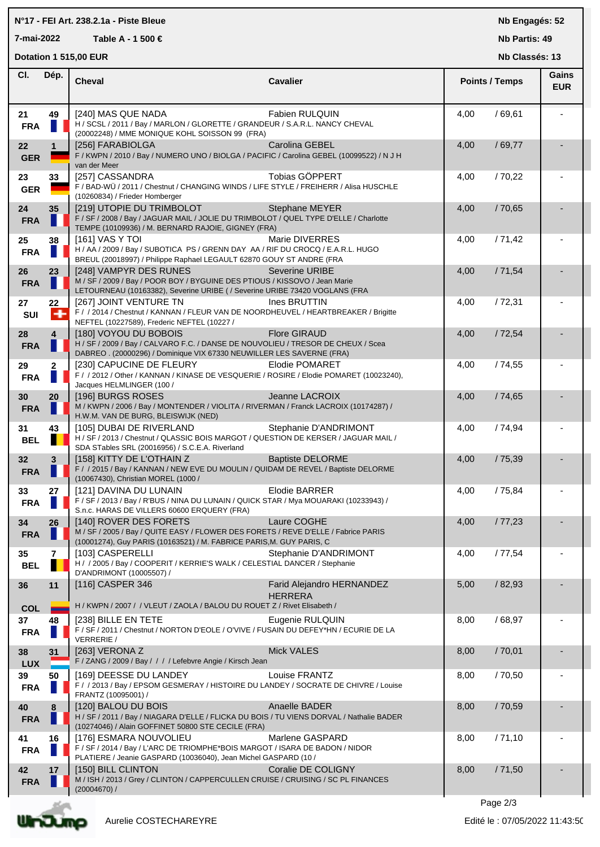## **N°17 - FEI Art. 238.2.1a - Piste Bleue**

**7-mai-2022 Table A - 1 500 €**

**Nb Engagés: 52**

**Nb Partis: 49 Nb Classés: 13** 

**Dotation 1 515,00 EUR** 

| CI.                           | Dép.                       | <b>Cheval</b><br><b>Cavalier</b>                                                                                                                                                                          | <b>Points / Temps</b> |         | Gains<br><b>EUR</b> |  |
|-------------------------------|----------------------------|-----------------------------------------------------------------------------------------------------------------------------------------------------------------------------------------------------------|-----------------------|---------|---------------------|--|
| 21<br><b>FRA</b>              | 49                         | [240] MAS QUE NADA<br>Fabien RULQUIN<br>H / SCSL / 2011 / Bay / MARLON / GLORETTE / GRANDEUR / S.A.R.L. NANCY CHEVAL<br>(20002248) / MME MONIQUE KOHL SOISSON 99 (FRA)                                    | 4,00                  | /69,61  |                     |  |
| 22<br><b>GER</b>              | $\mathbf{1}$               | [256] FARABIOLGA<br>Carolina GEBEL<br>F / KWPN / 2010 / Bay / NUMERO UNO / BIOLGA / PACIFIC / Carolina GEBEL (10099522) / N J H<br>van der Meer                                                           | 4,00                  | /69,77  |                     |  |
| 23<br><b>GER</b>              | 33                         | Tobias GÖPPERT<br>[257] CASSANDRA<br>F / BAD-WÜ / 2011 / Chestnut / CHANGING WINDS / LIFE STYLE / FREIHERR / Alisa HUSCHLE<br>(10260834) / Frieder Homberger                                              | 4,00                  | /70,22  |                     |  |
| 24<br><b>FRA</b>              | 35                         | [219] UTOPIE DU TRIMBOLOT<br><b>Stephane MEYER</b><br>F / SF / 2008 / Bay / JAGUAR MAIL / JOLIE DU TRIMBOLOT / QUEL TYPE D'ELLE / Charlotte<br>TEMPE (10109936) / M. BERNARD RAJOIE, GIGNEY (FRA)         | 4,00                  | / 70,65 |                     |  |
| 25<br><b>FRA</b>              | 38                         | Marie DIVERRES<br>[161] VAS Y TOI<br>H / AA / 2009 / Bay / SUBOTICA PS / GRENN DAY AA / RIF DU CROCQ / E.A.R.L. HUGO<br>BREUL (20018997) / Philippe Raphael LEGAULT 62870 GOUY ST ANDRE (FRA              | 4,00                  | /71,42  |                     |  |
| 26<br><b>FRA</b>              | 23                         | [248] VAMPYR DES RUNES<br>Severine URIBE<br>M / SF / 2009 / Bay / POOR BOY / BYGUINE DES PTIOUS / KISSOVO / Jean Marie<br>LETOURNEAU (10163382), Severine URIBE ( / Severine URIBE 73420 VOGLANS (FRA     | 4,00                  | /71,54  |                     |  |
| 27<br>SUI                     | 22<br>$\ddot{\phantom{1}}$ | [267] JOINT VENTURE TN<br>Ines BRUTTIN<br>F / / 2014 / Chestnut / KANNAN / FLEUR VAN DE NOORDHEUVEL / HEARTBREAKER / Brigitte<br>NEFTEL (10227589), Frederic NEFTEL (10227 /                              | 4,00                  | /72,31  |                     |  |
| 28<br><b>FRA</b>              | 4                          | [180] VOYOU DU BOBOIS<br><b>Flore GIRAUD</b><br>H / SF / 2009 / Bay / CALVARO F.C. / DANSE DE NOUVOLIEU / TRESOR DE CHEUX / Scea<br>DABREO . (20000296) / Dominique VIX 67330 NEUWILLER LES SAVERNE (FRA) | 4,00                  | /72,54  |                     |  |
| 29<br><b>FRA</b>              | $\mathbf 2$                | [230] CAPUCINE DE FLEURY<br><b>Elodie POMARET</b><br>F / / 2012 / Other / KANNAN / KINASE DE VESQUERIE / ROSIRE / Elodie POMARET (10023240),<br>Jacques HELMLINGER (100 /                                 | 4,00                  | / 74,55 |                     |  |
| 30<br><b>FRA</b>              | 20                         | [196] BURGS ROSES<br>Jeanne LACROIX<br>M / KWPN / 2006 / Bay / MONTENDER / VIOLITA / RIVERMAN / Franck LACROIX (10174287) /<br>H.W.M. VAN DE BURG, BLEISWIJK (NED)                                        | 4,00                  | /74,65  |                     |  |
| 31<br><b>BEL</b>              | 43                         | Stephanie D'ANDRIMONT<br>[105] DUBAI DE RIVERLAND<br>H / SF / 2013 / Chestnut / QLASSIC BOIS MARGOT / QUESTION DE KERSER / JAGUAR MAIL /<br>SDA STables SRL (20016956) / S.C.E.A. Riverland               | 4,00                  | /74,94  |                     |  |
| 32 <sub>2</sub><br><b>FRA</b> | 3                          | [158] KITTY DE L'OTHAIN Z<br><b>Baptiste DELORME</b><br>F / / 2015 / Bay / KANNAN / NEW EVE DU MOULIN / QUIDAM DE REVEL / Baptiste DELORME<br>(10067430), Christian MOREL (1000 /                         | 4,00                  | /75,39  |                     |  |
| 33<br><b>FRA</b>              | 27                         | [121] DAVINA DU LUNAIN<br><b>Elodie BARRER</b><br>F / SF / 2013 / Bay / R'BUS / NINA DU LUNAIN / QUICK STAR / Mya MOUARAKI (10233943) /<br>S.n.c. HARAS DE VILLERS 60600 ERQUERY (FRA)                    | 4,00                  | / 75,84 |                     |  |
| 34<br><b>FRA</b>              | 26                         | [140] ROVER DES FORETS<br>Laure COGHE<br>M / SF / 2005 / Bay / QUITE EASY / FLOWER DES FORETS / REVE D'ELLE / Fabrice PARIS<br>(10001274), Guy PARIS (10163521) / M. FABRICE PARIS, M. GUY PARIS, C       | 4,00                  | 111,23  |                     |  |
| 35<br><b>BEL</b>              | 7                          | [103] CASPERELLI<br>Stephanie D'ANDRIMONT<br>H / / 2005 / Bay / COOPERIT / KERRIE'S WALK / CELESTIAL DANCER / Stephanie<br>D'ANDRIMONT (10005507) /                                                       | 4,00                  | /77,54  |                     |  |
| 36<br><b>COL</b>              | 11                         | [116] CASPER 346<br>Farid Alejandro HERNANDEZ<br><b>HERRERA</b><br>H / KWPN / 2007 / / VLEUT / ZAOLA / BALOU DU ROUET Z / Rivet Elisabeth /                                                               | 5,00                  | / 82,93 |                     |  |
| 37<br><b>FRA</b>              | 48                         | [238] BILLE EN TETE<br>Eugenie RULQUIN<br>F / SF / 2011 / Chestnut / NORTON D'EOLE / O'VIVE / FUSAIN DU DEFEY*HN / ECURIE DE LA<br>VERRERIE /                                                             | 8,00                  | /68,97  |                     |  |
| 38<br><b>LUX</b>              | 31                         | [263] VERONA Z<br><b>Mick VALES</b><br>F / ZANG / 2009 / Bay / / / / Lefebvre Angie / Kirsch Jean                                                                                                         | 8,00                  | /70,01  |                     |  |
| 39<br><b>FRA</b>              | 50                         | [169] DEESSE DU LANDEY<br>Louise FRANTZ<br>F / / 2013 / Bay / EPSOM GESMERAY / HISTOIRE DU LANDEY / SOCRATE DE CHIVRE / Louise<br>FRANTZ (10095001) /                                                     | 8,00                  | /70,50  |                     |  |
| 40<br><b>FRA</b>              | 8                          | [120] BALOU DU BOIS<br>Anaelle BADER<br>H / SF / 2011 / Bay / NIAGARA D'ELLE / FLICKA DU BOIS / TU VIENS DORVAL / Nathalie BADER<br>(10274046) / Alain GOFFINET 50800 STE CECILE (FRA)                    | 8,00                  | /70,59  |                     |  |
| 41<br><b>FRA</b>              | 16                         | [176] ESMARA NOUVOLIEU<br>Marlene GASPARD<br>F / SF / 2014 / Bay / L'ARC DE TRIOMPHE*BOIS MARGOT / ISARA DE BADON / NIDOR<br>PLATIERE / Jeanie GASPARD (10036040), Jean Michel GASPARD (10 /              | 8,00                  | /71,10  |                     |  |
| 42<br><b>FRA</b>              | 17                         | [150] BILL CLINTON<br>Coralie DE COLIGNY<br>M / ISH / 2013 / Grey / CLINTON / CAPPERCULLEN CRUISE / CRUISING / SC PL FINANCES<br>$(20004670)$ /                                                           | 8,00                  | /71,50  |                     |  |